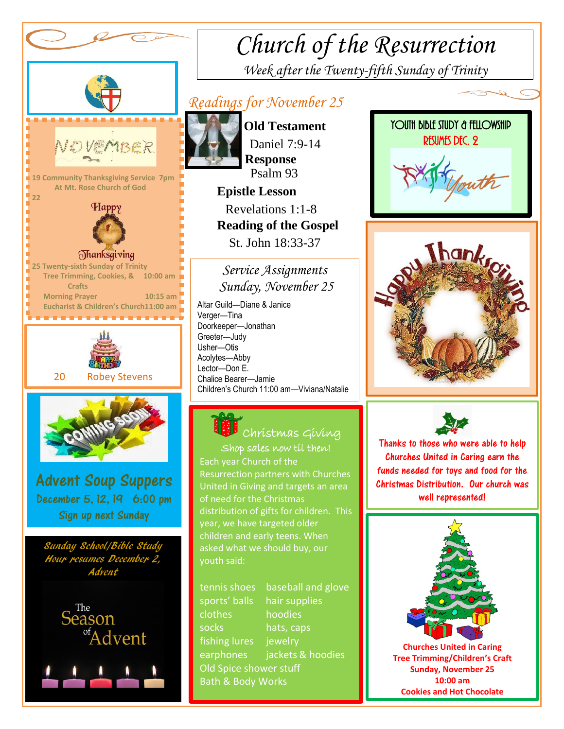

# *Church of the Resurrection*

*Week after the Twenty-fifth Sunday of Trinity* 

## *Readings for November 25*



 **Old Testament** Daniel 7:9-14  **Response** Psalm 93

 **Epistle Lesson** Revelations 1:1-8  **Reading of the Gospel**  St. John 18:33-37

*Service Assignments Sunday, November 25*

 Altar Guild—Diane & Janice Children's Church 11:00 am—Viviana/Natalie Verger—Tina Doorkeeper—Jonathan Greeter—Judy Usher—Otis Acolytes—Abby Lector—Don E. Chalice Bearer—Jamie 



### Christmas Giving Shop sales now til then!

Each year Church of the children and early teens. When Resurrection partners with Churches United in Giving and targets an area of need for the Christmas distribution of gifts for children. This year, we have targeted older asked what we should buy, our youth said:

tennis shoes baseball and glove sports' balls hair supplies clothes hoodies socks hats, caps fishing lures jewelry earphones jackets & hoodies Old Spice shower stuff Bath & Body Works







Thanks to those who were able to help Churches United in Caring earn the funds needed for toys and food for the Christmas Distribution. Our church was well represented!



**Churches United in Caring Tree Trimming/Children's Craft Sunday, November 25 10:00 am Cookies and Hot Chocolate**